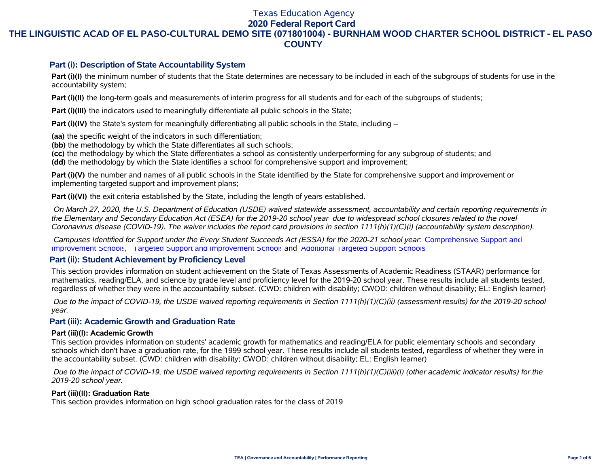# Texas Education Agency

**2020 Federal Report Card**

# **THE LINGUISTIC ACAD OF EL PASO-CULTURAL DEMO SITE (071801004) - BURNHAM WOOD CHARTER SCHOOL DISTRICT - EL PASO COUNTY**

### **Part (i): Description of State Accountability System**

Part (i)(I) the minimum number of students that the State determines are necessary to be included in each of the subgroups of students for use in the accountability system;

**Part (i)(II)** the long-term goals and measurements of interim progress for all students and for each of the subgroups of students;

**Part (i)(III)** the indicators used to meaningfully differentiate all public schools in the State;

**Part (i)(IV)** the State's system for meaningfully differentiating all public schools in the State, including --

**(aa)** the specific weight of the indicators in such differentiation;

**(bb)** the methodology by which the State differentiates all such schools;

**(cc)** the methodology by which the State differentiates a school as consistently underperforming for any subgroup of students; and

**(dd)** the methodology by which the State identifies a school for comprehensive support and improvement;

**Part (i)(V)** the number and names of all public schools in the State identified by the State for comprehensive support and improvement or implementing targeted support and improvement plans;

**Part (i)(VI)** the exit criteria established by the State, including the length of years established.

 *On March 27, 2020, the U.S. Department of Education (USDE) waived statewide assessment, accountability and certain reporting requirements in the Elementary and Secondary Education Act (ESEA) for the 2019-20 school year due to widespread school closures related to the novel Coronavirus disease (COVID-19). The waiver includes the report card provisions in section 1111(h)(1)(C)(i) (accountability system description).* 

 *Campuses Identified for Support under the Every Student Succeeds Act (ESSA) for the 2020-21 school year:* [Comprehensive Support and](https://tea.texas.gov/sites/default/files/comprehensive_support_2020.xlsx) [Improvement Schools](https://tea.texas.gov/sites/default/files/comprehensive_support_2020.xlsx), [Targeted Support and Improvement Schools](https://tea.texas.gov/sites/default/files/targeted_support_2020.xlsx) and [Additional Targeted Support Schools.](https://tea.texas.gov/sites/default/files/additional_targeted_support_2020.xlsx)

## **Part (ii): Student Achievement by Proficiency Level**

This section provides information on student achievement on the State of Texas Assessments of Academic Readiness (STAAR) performance for mathematics, reading/ELA, and science by grade level and proficiency level for the 2019-20 school year. These results include all students tested, regardless of whether they were in the accountability subset. (CWD: children with disability; CWOD: children without disability; EL: English learner)

 *Due to the impact of COVID-19, the USDE waived reporting requirements in Section 1111(h)(1)(C)(ii) (assessment results) for the 2019-20 school year.*

## **Part (iii): Academic Growth and Graduation Rate**

#### **Part (iii)(I): Academic Growth**

This section provides information on students' academic growth for mathematics and reading/ELA for public elementary schools and secondary schools which don't have a graduation rate, for the 1999 school year. These results include all students tested, regardless of whether they were in the accountability subset. (CWD: children with disability; CWOD: children without disability; EL: English learner)

 *Due to the impact of COVID-19, the USDE waived reporting requirements in Section 1111(h)(1)(C)(iii)(I) (other academic indicator results) for the 2019-20 school year.*

#### **Part (iii)(II): Graduation Rate**

This section provides information on high school graduation rates for the class of 2019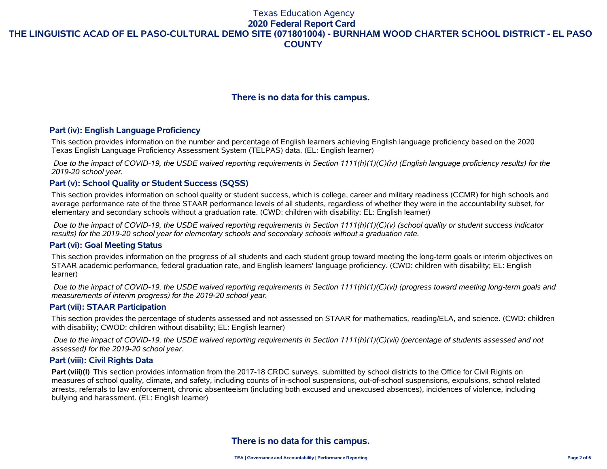# **There is no data for this campus.**

### **Part (iv): English Language Proficiency**

This section provides information on the number and percentage of English learners achieving English language proficiency based on the 2020 Texas English Language Proficiency Assessment System (TELPAS) data. (EL: English learner)

 *Due to the impact of COVID-19, the USDE waived reporting requirements in Section 1111(h)(1)(C)(iv) (English language proficiency results) for the 2019-20 school year.*

## **Part (v): School Quality or Student Success (SQSS)**

This section provides information on school quality or student success, which is college, career and military readiness (CCMR) for high schools and average performance rate of the three STAAR performance levels of all students, regardless of whether they were in the accountability subset, for elementary and secondary schools without a graduation rate. (CWD: children with disability; EL: English learner)

 *Due to the impact of COVID-19, the USDE waived reporting requirements in Section 1111(h)(1)(C)(v) (school quality or student success indicator results) for the 2019-20 school year for elementary schools and secondary schools without a graduation rate.*

#### **Part (vi): Goal Meeting Status**

This section provides information on the progress of all students and each student group toward meeting the long-term goals or interim objectives on STAAR academic performance, federal graduation rate, and English learners' language proficiency. (CWD: children with disability; EL: English learner)

 *Due to the impact of COVID-19, the USDE waived reporting requirements in Section 1111(h)(1)(C)(vi) (progress toward meeting long-term goals and measurements of interim progress) for the 2019-20 school year.*

#### **Part (vii): STAAR Participation**

This section provides the percentage of students assessed and not assessed on STAAR for mathematics, reading/ELA, and science. (CWD: children with disability; CWOD: children without disability; EL: English learner)

 *Due to the impact of COVID-19, the USDE waived reporting requirements in Section 1111(h)(1)(C)(vii) (percentage of students assessed and not assessed) for the 2019-20 school year.*

#### **Part (viii): Civil Rights Data**

**Part (viii)(I)** This section provides information from the 2017-18 CRDC surveys, submitted by school districts to the Office for Civil Rights on measures of school quality, climate, and safety, including counts of in-school suspensions, out-of-school suspensions, expulsions, school related arrests, referrals to law enforcement, chronic absenteeism (including both excused and unexcused absences), incidences of violence, including bullying and harassment. (EL: English learner)

# **There is no data for this campus.**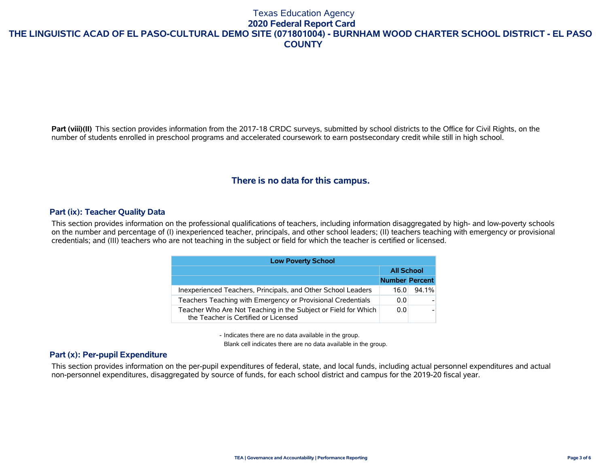Part (viii)(II) This section provides information from the 2017-18 CRDC surveys, submitted by school districts to the Office for Civil Rights, on the number of students enrolled in preschool programs and accelerated coursework to earn postsecondary credit while still in high school.

# **There is no data for this campus.**

## **Part (ix): Teacher Quality Data**

This section provides information on the professional qualifications of teachers, including information disaggregated by high- and low-poverty schools on the number and percentage of (I) inexperienced teacher, principals, and other school leaders; (II) teachers teaching with emergency or provisional credentials; and (III) teachers who are not teaching in the subject or field for which the teacher is certified or licensed.

| <b>Low Poverty School</b>                                                                              |                       |          |  |  |  |  |  |  |  |
|--------------------------------------------------------------------------------------------------------|-----------------------|----------|--|--|--|--|--|--|--|
|                                                                                                        | <b>All School</b>     |          |  |  |  |  |  |  |  |
|                                                                                                        | <b>Number Percent</b> |          |  |  |  |  |  |  |  |
| Inexperienced Teachers, Principals, and Other School Leaders                                           | 16.0                  | $94.1\%$ |  |  |  |  |  |  |  |
| Teachers Teaching with Emergency or Provisional Credentials                                            | 0.0                   |          |  |  |  |  |  |  |  |
| Teacher Who Are Not Teaching in the Subject or Field for Which<br>the Teacher is Certified or Licensed | 0.0                   |          |  |  |  |  |  |  |  |

- Indicates there are no data available in the group.

Blank cell indicates there are no data available in the group.

### **Part (x): Per-pupil Expenditure**

This section provides information on the per-pupil expenditures of federal, state, and local funds, including actual personnel expenditures and actual non-personnel expenditures, disaggregated by source of funds, for each school district and campus for the 2019-20 fiscal year.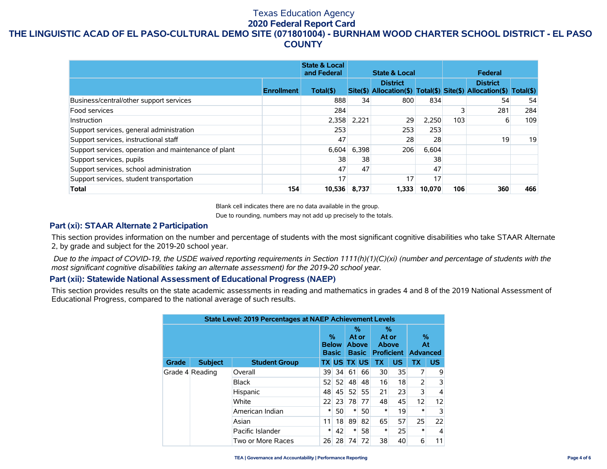|                                                      |                   | <b>State &amp; Local</b><br>and Federal |       | <b>State &amp; Local</b>                                                               |        |     | Federal         |     |
|------------------------------------------------------|-------------------|-----------------------------------------|-------|----------------------------------------------------------------------------------------|--------|-----|-----------------|-----|
|                                                      | <b>Enrollment</b> | Total(\$)                               |       | <b>District</b><br>Site(\$) Allocation(\$) Total(\$) Site(\$) Allocation(\$) Total(\$) |        |     | <b>District</b> |     |
| Business/central/other support services              |                   | 888                                     | 34    | 800                                                                                    | 834    |     | 54              | 54  |
| Food services                                        |                   | 284                                     |       |                                                                                        |        | 3   | 281             | 284 |
| Instruction                                          |                   | 2,358                                   | 2,221 | 29                                                                                     | 2,250  | 103 | 6               | 109 |
| Support services, general administration             |                   | 253                                     |       | 253                                                                                    | 253    |     |                 |     |
| Support services, instructional staff                |                   | 47                                      |       | 28                                                                                     | 28     |     | 19              | 19  |
| Support services, operation and maintenance of plant |                   | 6.604                                   | 6,398 | 206                                                                                    | 6,604  |     |                 |     |
| Support services, pupils                             |                   | 38                                      | 38    |                                                                                        | 38     |     |                 |     |
| Support services, school administration              |                   | 47                                      | 47    |                                                                                        | 47     |     |                 |     |
| Support services, student transportation             |                   | 17                                      |       | 17                                                                                     | 17     |     |                 |     |
| <b>Total</b>                                         | 154               | 10,536                                  | 8,737 | 1.333                                                                                  | 10.070 | 106 | 360             | 466 |

Blank cell indicates there are no data available in the group.

Due to rounding, numbers may not add up precisely to the totals.

## **Part (xi): STAAR Alternate 2 Participation**

This section provides information on the number and percentage of students with the most significant cognitive disabilities who take STAAR Alternate 2, by grade and subject for the 2019-20 school year.

 *Due to the impact of COVID-19, the USDE waived reporting requirements in Section 1111(h)(1)(C)(xi) (number and percentage of students with the most significant cognitive disabilities taking an alternate assessment) for the 2019-20 school year.*

#### **Part (xii): Statewide National Assessment of Educational Progress (NAEP)**

This section provides results on the state academic assessments in reading and mathematics in grades 4 and 8 of the 2019 National Assessment of Educational Progress, compared to the national average of such results.

| State Level: 2019 Percentages at NAEP Achievement Levels |                 |                      |                                   |                 |                                            |                    |                                          |           |                            |                |
|----------------------------------------------------------|-----------------|----------------------|-----------------------------------|-----------------|--------------------------------------------|--------------------|------------------------------------------|-----------|----------------------------|----------------|
|                                                          |                 |                      | %<br><b>Below</b><br><b>Basic</b> |                 | %<br>At or<br><b>Above</b><br><b>Basic</b> |                    | %<br>At or<br>Above<br><b>Proficient</b> |           | %<br>At<br><b>Advanced</b> |                |
| Grade                                                    | <b>Subject</b>  | <b>Student Group</b> |                                   |                 |                                            | <b>TX US TX US</b> | <b>TX</b>                                | <b>US</b> | <b>TX</b>                  | <b>US</b>      |
|                                                          | Grade 4 Reading | Overall              | 39                                | 34              | 61                                         | 66                 | 30                                       | 35        |                            | 9              |
|                                                          |                 | <b>Black</b>         | 52                                | 52              | 48                                         | 48                 | 16                                       | 18        | 2                          | 3              |
|                                                          |                 | Hispanic             | 48                                | 45 <sup>1</sup> | 52                                         | 55                 | 21                                       | 23        | 3                          | 4              |
|                                                          |                 | White                | 22                                | 23              | 78                                         | 77                 | 48                                       | 45        | 12                         | 12             |
|                                                          |                 | American Indian      | ∗                                 | 50              | ∗                                          | 50                 | $\ast$                                   | 19        | $\ast$                     | $\overline{3}$ |
|                                                          |                 | Asian                | 11                                | 18              | 89                                         | 82                 | 65                                       | 57        | 25                         | 22             |
|                                                          |                 | Pacific Islander     | $\ast$                            | 42              | *                                          | 58                 | $\ast$                                   | 25        | $\ast$                     | 4              |
|                                                          |                 | Two or More Races    | 26                                | 28              | 74                                         | 72                 | 38                                       | 40        | 6                          | 11             |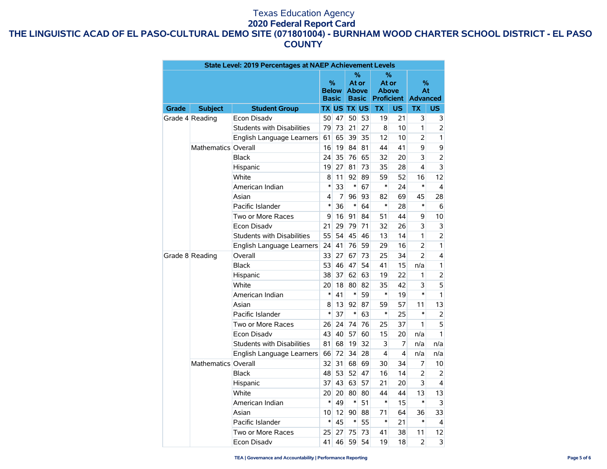|                 |                     | State Level: 2019 Percentages at NAEP Achievement Levels                                                                              |        |                    |                            |    |           |    |                |                |
|-----------------|---------------------|---------------------------------------------------------------------------------------------------------------------------------------|--------|--------------------|----------------------------|----|-----------|----|----------------|----------------|
|                 |                     | %<br>%<br>$\%$<br>At or<br>At or<br><b>Below</b><br><b>Above</b><br><b>Above</b><br><b>Proficient</b><br><b>Basic</b><br><b>Basic</b> |        |                    | %<br>At<br><b>Advanced</b> |    |           |    |                |                |
| Grade           | <b>Subject</b>      | <b>Student Group</b>                                                                                                                  |        | <b>TX US TX US</b> |                            |    | <b>TX</b> | US | <b>TX</b>      | US.            |
| Grade 4 Reading |                     | Econ Disady                                                                                                                           | 50     | 47                 | 50                         | 53 | 19        | 21 | 3              | 3              |
|                 |                     | Students with Disabilities                                                                                                            | 79     | 73                 | 21                         | 27 | 8         | 10 | 1              | 2              |
|                 |                     | English Language Learners                                                                                                             |        | 65                 | 39                         | 35 | 12        | 10 | $\overline{2}$ | 1              |
|                 | Mathematics Overall |                                                                                                                                       | 16     | 19                 | 84                         | 81 | 44        | 41 | 9              | 9              |
|                 |                     | <b>Black</b><br>24                                                                                                                    |        | 35                 | 76                         | 65 | 32        | 20 | 3              | $\overline{2}$ |
|                 |                     | Hispanic                                                                                                                              | 19     | 27                 | 81                         | 73 | 35        | 28 | 4              | 3              |
|                 |                     | White                                                                                                                                 | 8      | 11                 | 92                         | 89 | 59        | 52 | 16             | 12             |
|                 |                     | American Indian                                                                                                                       | $\ast$ | 33                 | $\ast$                     | 67 | $\ast$    | 24 | $\ast$         | $\overline{4}$ |
|                 |                     | Asian                                                                                                                                 | 4      | 7                  | 96                         | 93 | 82        | 69 | 45             | 28             |
|                 |                     | Pacific Islander                                                                                                                      | $\ast$ | 36                 | $\ast$                     | 64 | $\ast$    | 28 | $\ast$         | 6              |
|                 |                     | Two or More Races                                                                                                                     | 9      | 16                 | 91                         | 84 | 51        | 44 | 9              | 10             |
|                 |                     | <b>Econ Disadv</b>                                                                                                                    | 21     | 29                 | 79                         | 71 | 32        | 26 | 3              | 3              |
|                 |                     | <b>Students with Disabilities</b>                                                                                                     |        | 54                 | 45                         | 46 | 13        | 14 | $\mathbf{1}$   | $\overline{2}$ |
|                 |                     | English Language Learners                                                                                                             | 24     | 41                 | 76                         | 59 | 29        | 16 | $\overline{2}$ | 1              |
|                 | Grade 8 Reading     | Overall                                                                                                                               | 33     | 27                 | 67                         | 73 | 25        | 34 | $\overline{2}$ | 4              |
|                 |                     | <b>Black</b>                                                                                                                          |        | 46                 | 47                         | 54 | 41        | 15 | n/a            | 1              |
|                 |                     | Hispanic                                                                                                                              |        | 37                 | 62                         | 63 | 19        | 22 | 1              | 2              |
|                 |                     | White                                                                                                                                 |        | 18                 | 80                         | 82 | 35        | 42 | 3              | 5              |
|                 |                     | American Indian                                                                                                                       |        | 41                 | $\ast$                     | 59 | $\ast$    | 19 | $\ast$         | 1              |
|                 |                     | Asian                                                                                                                                 | 8      | 13                 | 92                         | 87 | 59        | 57 | 11             | 13             |
|                 |                     | Pacific Islander                                                                                                                      | $\ast$ | 37                 | $\ast$                     | 63 | $\ast$    | 25 | $\ast$         | $\overline{2}$ |
|                 |                     | Two or More Races                                                                                                                     | 26     | 24                 | 74                         | 76 | 25        | 37 | 1              | 5              |
|                 |                     | Econ Disadv                                                                                                                           | 43     | 40                 | 57                         | 60 | 15        | 20 | n/a            | 1              |
|                 |                     | Students with Disabilities                                                                                                            | 81     | 68                 | 19                         | 32 | 3         | 7  | n/a            | n/a            |
|                 |                     | English Language Learners                                                                                                             | 66     | 72                 | 34                         | 28 | 4         | 4  | n/a            | n/a            |
|                 | Mathematics Overall |                                                                                                                                       | 32     | 31                 | 68                         | 69 | 30        | 34 | 7              | 10             |
|                 |                     | <b>Black</b>                                                                                                                          | 48     | 53                 | 52                         | 47 | 16        | 14 | $\overline{2}$ | 2              |
|                 |                     | Hispanic                                                                                                                              | 37     | 43                 | 63                         | 57 | 21        | 20 | 3              | 4              |
|                 |                     | White                                                                                                                                 | 20     | 20                 | 80                         | 80 | 44        | 44 | 13             | 13             |
|                 |                     | American Indian                                                                                                                       | $\ast$ | 49                 | $\ast$                     | 51 | $\ast$    | 15 | $\ast$         | 3              |
|                 |                     | Asian                                                                                                                                 | 10     | 12                 | 90                         | 88 | 71        | 64 | 36             | 33             |
|                 |                     | Pacific Islander                                                                                                                      | $\ast$ | 45                 | $\ast$                     | 55 | $\ast$    | 21 | $\ast$         | 4              |
|                 |                     | Two or More Races                                                                                                                     | 25     | 27                 | 75                         | 73 | 41        | 38 | 11             | 12             |
|                 |                     | Econ Disadv                                                                                                                           | 41     | 46                 | 59                         | 54 | 19        | 18 | $\overline{2}$ | 3              |